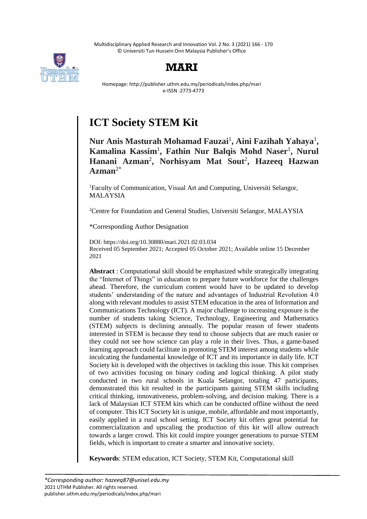Multidisciplinary Applied Research and Innovation Vol. 2 No. 3 (2021) 166 - 170 © Universiti Tun Hussein Onn Malaysia Publisher's Office





Homepage: http://publisher.uthm.edu.my/periodicals/index.php/mari e-ISSN :2773-4773

# **ICT Society STEM Kit**

**Nur Anis Masturah Mohamad Fauzai**<sup>1</sup> **, Aini Fazihah Yahaya**<sup>1</sup> **, Kamalina Kassim**<sup>1</sup> **, Fathin Nur Balqis Mohd Naser**<sup>1</sup> **, Nurul Hanani Azman**<sup>2</sup> **, Norhisyam Mat Sout**<sup>2</sup> **, Hazeeq Hazwan Azman**2\*

<sup>1</sup>Faculty of Communication, Visual Art and Computing, Universiti Selangor, MALAYSIA

<sup>2</sup>Centre for Foundation and General Studies, Universiti Selangor, MALAYSIA

\*Corresponding Author Designation

DOI: https://doi.org/10.30880/mari.2021.02.03.034 Received 05 September 2021; Accepted 05 October 2021; Available online 15 December 2021

**Abstract** : Computational skill should be emphasized while strategically integrating the "Internet of Things" in education to prepare future workforce for the challenges ahead. Therefore, the curriculum content would have to be updated to develop students' understanding of the nature and advantages of Industrial Revolution 4.0 along with relevant modules to assist STEM education in the area of Information and Communications Technology (ICT). A major challenge to increasing exposure is the number of students taking Science, Technology, Engineering and Mathematics (STEM) subjects is declining annually. The popular reason of fewer students interested in STEM is because they tend to choose subjects that are much easier or they could not see how science can play a role in their lives. Thus, a game-based learning approach could facilitate in promoting STEM interest among students while inculcating the fundamental knowledge of ICT and its importance in daily life. ICT Society kit is developed with the objectives in tackling this issue. This kit comprises of two activities focusing on binary coding and logical thinking. A pilot study conducted in two rural schools in Kuala Selangor, totaling 47 participants, demonstrated this kit resulted in the participants gaining STEM skills including critical thinking, innovativeness, problem-solving, and decision making. There is a lack of Malaysian ICT STEM kits which can be conducted offline without the need of computer. This ICT Society kit is unique, mobile, affordable and most importantly, easily applied in a rural school setting. ICT Society kit offers great potential for commercialization and upscaling the production of this kit will allow outreach towards a larger crowd. This kit could inspire younger generations to pursue STEM fields, which is important to create a smarter and innovative society.

**Keywords**: STEM education, ICT Society, STEM Kit, Computational skill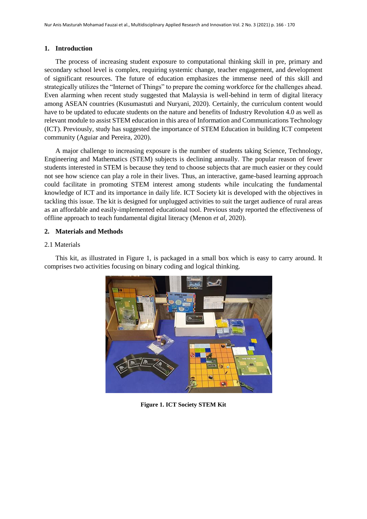#### **1. Introduction**

The process of increasing student exposure to computational thinking skill in pre, primary and secondary school level is complex, requiring systemic change, teacher engagement, and development of significant resources. The future of education emphasizes the immense need of this skill and strategically utilizes the "Internet of Things" to prepare the coming workforce for the challenges ahead. Even alarming when recent study suggested that Malaysia is well-behind in term of digital literacy among ASEAN countries (Kusumastuti and Nuryani, 2020). Certainly, the curriculum content would have to be updated to educate students on the nature and benefits of Industry Revolution 4.0 as well as relevant module to assist STEM education in this area of Information and Communications Technology (ICT). Previously, study has suggested the importance of STEM Education in building ICT competent community (Aguiar and Pereira, 2020).

A major challenge to increasing exposure is the number of students taking Science, Technology, Engineering and Mathematics (STEM) subjects is declining annually. The popular reason of fewer students interested in STEM is because they tend to choose subjects that are much easier or they could not see how science can play a role in their lives. Thus, an interactive, game-based learning approach could facilitate in promoting STEM interest among students while inculcating the fundamental knowledge of ICT and its importance in daily life. ICT Society kit is developed with the objectives in tackling this issue. The kit is designed for unplugged activities to suit the target audience of rural areas as an affordable and easily-implemented educational tool. Previous study reported the effectiveness of offline approach to teach fundamental digital literacy (Menon *et al,* 2020).

#### **2. Materials and Methods**

#### 2.1 Materials

This kit, as illustrated in Figure 1, is packaged in a small box which is easy to carry around. It comprises two activities focusing on binary coding and logical thinking.



**Figure 1. ICT Society STEM Kit**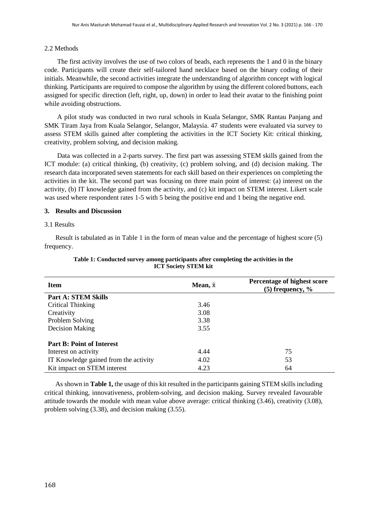# 2.2 Methods

The first activity involves the use of two colors of beads, each represents the 1 and 0 in the binary code. Participants will create their self-tailored hand necklace based on the binary coding of their initials. Meanwhile, the second activities integrate the understanding of algorithm concept with logical thinking. Participants are required to compose the algorithm by using the different colored buttons, each assigned for specific direction (left, right, up, down) in order to lead their avatar to the finishing point while avoiding obstructions.

A pilot study was conducted in two rural schools in Kuala Selangor, SMK Rantau Panjang and SMK Tiram Jaya from Kuala Selangor, Selangor, Malaysia. 47 students were evaluated via survey to assess STEM skills gained after completing the activities in the ICT Society Kit: critical thinking, creativity, problem solving, and decision making.

Data was collected in a 2-parts survey. The first part was assessing STEM skills gained from the ICT module: (a) critical thinking, (b) creativity, (c) problem solving, and (d) decision making. The research data incorporated seven statements for each skill based on their experiences on completing the activities in the kit. The second part was focusing on three main point of interest: (a) interest on the activity, (b) IT knowledge gained from the activity, and (c) kit impact on STEM interest. Likert scale was used where respondent rates 1-5 with 5 being the positive end and 1 being the negative end.

# **3. Results and Discussion**

## 3.1 Results

Result is tabulated as in Table 1 in the form of mean value and the percentage of highest score (5) frequency.

| <b>Item</b>                           | Mean, $\bar{x}$ | Percentage of highest score<br>$(5)$ frequency, $\%$ |
|---------------------------------------|-----------------|------------------------------------------------------|
| <b>Part A: STEM Skills</b>            |                 |                                                      |
| Critical Thinking                     | 3.46            |                                                      |
| Creativity                            | 3.08            |                                                      |
| Problem Solving                       | 3.38            |                                                      |
| Decision Making                       | 3.55            |                                                      |
| <b>Part B: Point of Interest</b>      |                 |                                                      |
| Interest on activity                  | 4.44            | 75                                                   |
| IT Knowledge gained from the activity | 4.02            | 53                                                   |
| Kit impact on STEM interest           | 4.23            | 64                                                   |

## **Table 1: Conducted survey among participants after completing the activities in the ICT Society STEM kit**

As shown in **Table 1,** the usage of this kit resulted in the participants gaining STEM skills including critical thinking, innovativeness, problem-solving, and decision making. Survey revealed favourable attitude towards the module with mean value above average: critical thinking (3.46), creativity (3.08), problem solving (3.38), and decision making (3.55).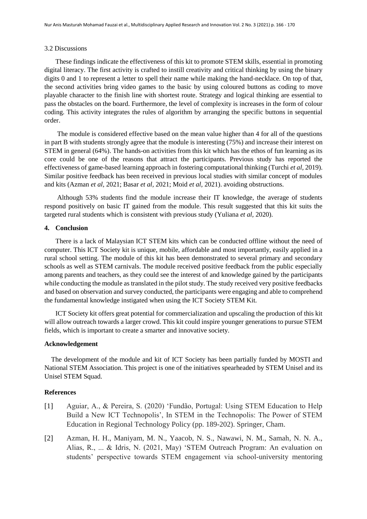#### 3.2 Discussions

These findings indicate the effectiveness of this kit to promote STEM skills, essential in promoting digital literacy. The first activity is crafted to instill creativity and critical thinking by using the binary digits 0 and 1 to represent a letter to spell their name while making the hand-necklace. On top of that, the second activities bring video games to the basic by using coloured buttons as coding to move playable character to the finish line with shortest route. Strategy and logical thinking are essential to pass the obstacles on the board. Furthermore, the level of complexity is increases in the form of colour coding. This activity integrates the rules of algorithm by arranging the specific buttons in sequential order.

The module is considered effective based on the mean value higher than 4 for all of the questions in part B with students strongly agree that the module is interesting (75%) and increase their interest on STEM in general (64%). The hands-on activities from this kit which has the ethos of fun learning as its core could be one of the reasons that attract the participants. Previous study has reported the effectiveness of game-based learning approach in fostering computational thinking (Turchi *et al,* 2019). Similar positive feedback has been received in previous local studies with similar concept of modules and kits (Azman *et al,* 2021; Basar *et al,* 2021; Moid *et al,* 2021). avoiding obstructions.

Although 53% students find the module increase their IT knowledge, the average of students respond positively on basic IT gained from the module. This result suggested that this kit suits the targeted rural students which is consistent with previous study (Yuliana *et al,* 2020).

#### **4. Conclusion**

There is a lack of Malaysian ICT STEM kits which can be conducted offline without the need of computer. This ICT Society kit is unique, mobile, affordable and most importantly, easily applied in a rural school setting. The module of this kit has been demonstrated to several primary and secondary schools as well as STEM carnivals. The module received positive feedback from the public especially among parents and teachers, as they could see the interest of and knowledge gained by the participants while conducting the module as translated in the pilot study. The study received very positive feedbacks and based on observation and survey conducted, the participants were engaging and able to comprehend the fundamental knowledge instigated when using the ICT Society STEM Kit.

ICT Society kit offers great potential for commercialization and upscaling the production of this kit will allow outreach towards a larger crowd. This kit could inspire younger generations to pursue STEM fields, which is important to create a smarter and innovative society.

## **Acknowledgement**

 The development of the module and kit of ICT Society has been partially funded by MOSTI and National STEM Association. This project is one of the initiatives spearheaded by STEM Unisel and its Unisel STEM Squad.

#### **References**

- [1] Aguiar, A., & Pereira, S. (2020) 'Fundão, Portugal: Using STEM Education to Help Build a New ICT Technopolis', In STEM in the Technopolis: The Power of STEM Education in Regional Technology Policy (pp. 189-202). Springer, Cham.
- [2] Azman, H. H., Maniyam, M. N., Yaacob, N. S., Nawawi, N. M., Samah, N. N. A., Alias, R., ... & Idris, N. (2021, May) 'STEM Outreach Program: An evaluation on students' perspective towards STEM engagement via school-university mentoring